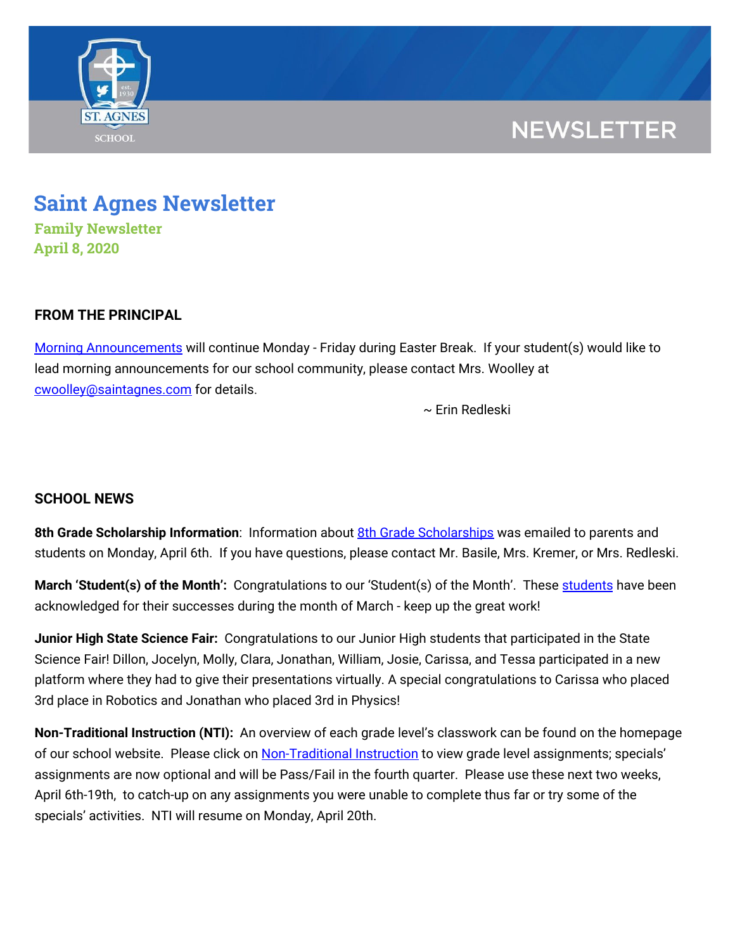

## **NEWSLETTER**

# **Saint Agnes Newsletter**

**Family Newsletter April 8, 2020**

## **FROM THE PRINCIPAL**

Morning [Announcements](https://www.youtube.com/playlist?list=PLFVaFXwRNac4H7Ba7ZFsTy0BapE18eEdT) will continue Monday - Friday during Easter Break. If your student(s) would like to lead morning announcements for our school community, please contact Mrs. Woolley at [cwoolley@saintagnes.com](mailto:cwoolley@saintagnes.com) for details.

~ Erin Redleski

## **SCHOOL NEWS**

**8th Grade Scholarship Information**: Information about 8th Grade [Scholarships](https://drive.google.com/file/d/10zSYmvuLtER9TOCLRQ5SPWPvXgC84xdp/view?usp=sharing) was emailed to parents and students on Monday, April 6th. If you have questions, please contact Mr. Basile, Mrs. Kremer, or Mrs. Redleski.

**March 'Student(s) of the Month':** Congratulations to our 'Student(s) of the Month'. These [students](https://drive.google.com/file/d/11BLos4AMsgk41JypTV4Pt6_XoxfUW576/view?usp=sharing) have been acknowledged for their successes during the month of March - keep up the great work!

**Junior High State Science Fair:** Congratulations to our Junior High students that participated in the State Science Fair! Dillon, Jocelyn, Molly, Clara, Jonathan, William, Josie, Carissa, and Tessa participated in a new platform where they had to give their presentations virtually. A special congratulations to Carissa who placed 3rd place in Robotics and Jonathan who placed 3rd in Physics!

**Non-Traditional Instruction (NTI):** An overview of each grade level's classwork can be found on the homepage of our school website. Please click on [Non-Traditional](https://school.saintagnes.com/nti-instruction/) Instruction to view grade level assignments; specials' assignments are now optional and will be Pass/Fail in the fourth quarter. Please use these next two weeks, April 6th-19th, to catch-up on any assignments you were unable to complete thus far or try some of the specials' activities. NTI will resume on Monday, April 20th.